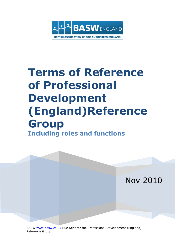

# **Terms of Reference of Professional Development (England)Reference Group Including roles and functions**



BASW [www.basw.co.uk](http://www.basw.co.uk/) Sue Kent for the Professional Development (England) Reference Group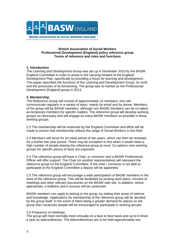

#### **British Association of Social Workers Professional Development (England) policy reference group Terms of reference and roles and functions**

## **1. Introduction**

The Learning and Development Group was set up in November 2010 by the BASW England Committee in order to assist in the carrying forward of the England Development Plan, specifically by providing a focus for learning and development. This paper describes the functions of the Learning and Development Group, its remit and the processes of its functioning. The group was re-named as the Professional Development (England) group in 2013.

## **2. Membership**

The Reference Group will consist of approximately 10 members, who will communicate regularly in a variety of ways, mainly by email and by phone. Members of the group will be BASW members, although non BASW members can be co-opted as temporary members for specific matters. The reference group will develop working groups as necessary and will engage as many BASW members as possible in these working groups.

2.2 The membership will be endorsed by the England Committee and effort will be made to ensure that membership reflects the range of Social Workers in this field.

2.3 Members will serve for an initial period of two years, which can then be renewed for a further two year period. There may be exception to this when it would mean a high number of people leaving the reference group at once. Co-options onto working groups for specific pieces of work are expected.

2.4 The reference group will have a Chair, or convenor and a BASW Professional Officer will offer support. The Chair (or another representative) will represent the reference group on the England Committee. If the chair / convenor is not able to participate at the England Committee a deputy will be appointed.

2.5 The reference group will encourage a wide participation of BASW members in the work of the reference group. This will be facilitated by posting work plans, minutes of meetings and other relevant documents on the BASW web site. In addition, where appropriate, e bulletins and e surveys will be conducted.

BASW members can apply to belong to the group, by stating their areas of interest and knowledge. Applications for membership of the reference group will be decided by the group itself. In the event of there being a greater demand for places on the group than vacancies people will be encouraged to participate in working groups.

## 2.6 Frequency of meetings

The group will meet normally meet annually on a face to face basis and up to 6 times a year by teleconference. The teleconferences are to be held approximately two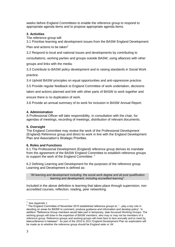weeks before England Committees to enable the reference group to respond to appropriate agenda items and to propose appropriate agenda items.

## **3. Activities**

The reference group will:

3.1 Prioritise learning and development issues from the BASW England Development Plan and actions to be taken<sup>1</sup>

3.2 Respond to local and national issues and developments by contributing to

consultations, working parties and groups outside BASW, using alliances with other groups and links with the media.

3.3 Contribute to BASW policy development and to raising standards in Social Work practice.

3.4 Uphold BASW principles on equal opportunities and anti-oppressive practice.

3.5 Provide regular feedback to England Committee of work undertaken, decisions

taken and actions planned and link with other parts of BASW to work together and ensure there is no duplication of work.

3.6 Provide an annual summary of its work for inclusion in BASW Annual Report.

## **4. Administration**

A Professional Officer will take responsibility, in consultation with the chair, for agendas of meetings, recording of meetings, distribution of relevant documents.

## **5. Oversight**

The England Committee may review the work of the Professional Development (England) Reference group and direct its work in line with the England Development Plan and Association's Strategic Priorities.

## **6. Roles and Functions**

6.1 The Professional Development (England) reference group derives its mandate from the agreement of the BASW England Committee to establish reference groups to support the work of the England Committee.<sup>2</sup>

6.2 Defining Learning and Development for the purposes of the reference group. Learning and Development is defined as:

*"All learning and development including: the social work degree and all post qualification learning and development, including accredited learning".*

Included in the above definition is learning that takes place through supervision, non accredited courses, reflection, reading, peer networking.

-

 $<sup>1</sup>$  See Appendix 1</sup>

<sup>&</sup>lt;sup>2</sup> The England Committee of November 2010 established reference groups to: "... play a key role in deciding on areas for BASW to comment, produce guidance and information and develop policy". In addition "Reference Group members would take part in temporary, task-focussed Working Groups. The working groups will draw in the expertise of BASW members, who may or may not be members of a reference group. Reference groups and working groups will meet face to face annually and to meet by teleconference in between". As part of the 2010 to 2011 England Development Plan an exploration will be made as to whether the reference group should be England wide or UK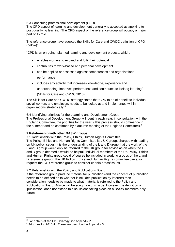6.3 Continuing professional development (CPD)

The CPD aspect of learning and development generally is accepted as applying to post qualifying learning. The CPD aspect of the reference group will occupy a major part of its role.

The reference group have adopted the Skills for Care and CWDC definition of CPD (below):

"CPD is an on-going, planned learning and development process, which:

- enables workers to expand and fulfil their potential
- contributes to work-based and personal development
- can be applied or assessed against competences and organisational performance
- includes any activity that increases knowledge, experience and

understanding, improves performance and contributes to lifelong learning".

(Skills for Care and CWDC 2010)

The Skills for Care and CWDC strategy states that CPD to be of benefit to individual social workers and employers needs to be looked at and implemented within organisations strategically.<sup>3</sup>

6.4 Identifying priorities for the Learning and Development Group The Professional Development Group will identify each year, in consultation with the England Committee, the priorities for the year. (This process should commence in the summer and be confirmed by a autumn meeting of the England Committee).<sup>4</sup>

## **7.Relationship with other BASW groups**

7.1 Relationship with the Policy, Ethics, Human Rights Committee The Policy, Ethics and Human Rights Committee is a UK group, charged with leading on UK policy issues. It is the understanding of the L and D group that the work of the L and D group would only be referred to the UK group for advice as an when the L and D group deemed it would be helpful. Individual members of the UK Policy, Ethics and Human Rights group could of course be included in working groups of the L and D reference group. The UK Policy, Ethics and Human Rights committee can also request the L&D reference group to consider certain areas/issues.

7.2 Relationship with the Policy and Publications Board

If the reference group produce material for publication (and the concept of publication needs to be defined as to whether it includes publication by internet) then consideration needs to be made to what material is referred to the Policy and Publications Board. Advice will be sought on this issue. However the definition of 'publication' does not extend to discussions taking place on a BASW members-only forum

-

 $3$  For details of the CPD strategy see Appendix 2

<sup>4</sup> Priorities for 2010-11 These are described in Appendix 3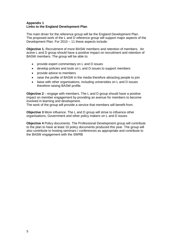## **Appendix 1 Links to the England Development Plan**

The main driver for the reference group will be the England Development Plan. The proposed work of the L and D reference group will support major aspects of the Development Plan. For 2010 – 11 these aspects include:

**Objective 1.** Recruitment of more BASW members and retention of members. An active L and D group should have a positive impact on recruitment and retention of BASW members. The group will be able to:

- provide expert commentary on L and D issues
- develop policies and tools on L and D issues to support members
- provide advice to members
- raise the profile of BASW in the media therefore attracting people to join
- liaise with other organisations, including universities on L and D issues therefore raising BASW profile.

**Objective 2** – engage with members. The L and D group should have a positive impact on member engagement by providing an avenue for members to become involved in learning and development.

The work of the group will provide a service that members will benefit from.

**Objective 3** More influence. The L and D group will strive to influence other organisations, Government and other policy makers on L and D issues

**Objective 4** Policy documents. The Professional Development group will contribute to the plan to have at least 10 policy documents produced this year. The group will also contribute to hosting seminars / conferences as appropriate and contribute to the BASW engagement with the SWRB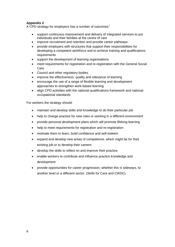## **Appendix 2**

A CPD strategy for employers has a number of outcomes:

- support continuous improvement and delivery of integrated services to put individuals and their families at the centre of care
- improve recruitment and retention and provide career pathways
- provide employers with structures that support their responsibilities for developing a competent workforce and to achieve training and qualifications requirements
- support the development of learning organisations
- meet requirements for registration and re-registration with the General Social Care
- Council and other regulatory bodies
- improve the effectiveness, quality and relevance of learning
- encourage the use of a range of flexible learning and development approaches to strengthen work-based learning
- align CPD activities with the national qualifications framework and national occupational standards.

For workers the strategy should:

- maintain and develop skills and knowledge to do their particular job
- help to change practice for new roles or working in a different environment
- provide personal development plans which will promote lifelong learning
- help to meet requirements for registration and re-registration
- motivate them to learn, build confidence and self-esteem
- expand and develop new areas of competence, which might be for their existing job or to develop their careers
- develop the skills to reflect on and improve their practice
- enable workers to contribute and influence practice knowledge and development
- provide opportunities for career progression, whether this is sideways, to another level or a different sector. (Skills for Care and CWDC)